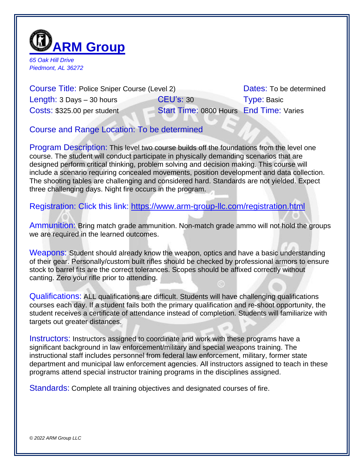

*65 Oak Hill Drive Piedmont, AL 36272*

Course Title: Police Sniper Course (Level 2) Dates: To be determined Length: 3 Days – 30 hours **CEU's: 30** Type: Basic Costs: \$325.00 per student Start Time: 0800 Hours End Time: Varies

Course and Range Location: To be determined

Program Description: This level two course builds off the foundations from the level one course. The student will conduct participate in physically demanding scenarios that are designed perform critical thinking, problem solving and decision making. This course will include a scenario requiring concealed movements, position development and data collection. The shooting tables are challenging and considered hard. Standards are not yielded. Expect three challenging days. Night fire occurs in the program.

Registration: Click this link:<https://www.arm-group-llc.com/registration.html>

Ammunition: Bring match grade ammunition. Non-match grade ammo will not hold the groups we are required in the learned outcomes.

Weapons: Student should already know the weapon, optics and have a basic understanding of their gear. Personally/custom built rifles should be checked by professional armors to ensure stock to barrel fits are the correct tolerances. Scopes should be affixed correctly without canting. Zero your rifle prior to attending.

Qualifications: ALL qualifications are difficult. Students will have challenging qualifications courses each day. If a student fails both the primary qualification and re-shoot opportunity, the student receives a certificate of attendance instead of completion. Students will familiarize with targets out greater distances.

Instructors: Instructors assigned to coordinate and work with these programs have a significant background in law enforcement/military and special weapons training. The instructional staff includes personnel from federal law enforcement, military, former state department and municipal law enforcement agencies. All instructors assigned to teach in these programs attend special instructor training programs in the disciplines assigned.

Standards: Complete all training objectives and designated courses of fire.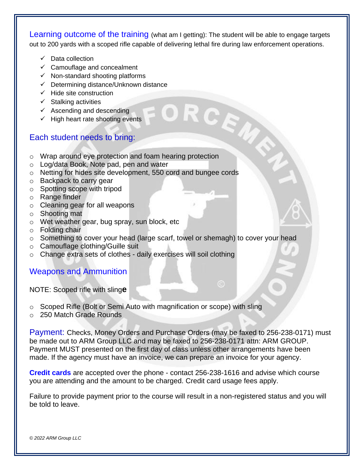Learning outcome of the training (what am I getting): The student will be able to engage targets out to 200 yards with a scoped rifle capable of delivering lethal fire during law enforcement operations.

- ✓ Data collection
- ✓ Camouflage and concealment
- $\checkmark$  Non-standard shooting platforms
- 
- $\checkmark$  Hide site construction
- $\checkmark$  Stalking activities
- $\checkmark$  Ascending and descending
- $\checkmark$  High heart rate shooting events

## Each student needs to bring:

- V Determining distance/Unknown distance<br>
V Hide site construction<br>
V Stalking activities<br>
V Ascending and descending<br>
V High heart rate shooting events<br>
V High heart rate shooting events o Wrap around eye protection and foam hearing protection
- o Log/data Book, Note pad, pen and water
- o Netting for hides site development, 550 cord and bungee cords
- o Backpack to carry gear
- o Spotting scope with tripod
- o Range finder
- o Cleaning gear for all weapons
- o Shooting mat
- o Wet weather gear, bug spray, sun block, etc
- o Folding chair
- o Something to cover your head (large scarf, towel or shemagh) to cover your head
- o Camouflage clothing/Guille suit
- o Change extra sets of clothes daily exercises will soil clothing

## Weapons and Ammunition

NOTE: Scoped rifle with sling**e**

- o Scoped Rifle (Bolt or Semi Auto with magnification or scope) with sling
- o 250 Match Grade Rounds

Payment: Checks, Money Orders and Purchase Orders (may be faxed to 256-238-0171) must be made out to ARM Group LLC and may be faxed to 256-238-0171 attn: ARM GROUP. Payment MUST presented on the first day of class unless other arrangements have been made. If the agency must have an invoice, we can prepare an invoice for your agency.

 $\odot$ 

**Credit cards** are accepted over the phone - contact 256-238-1616 and advise which course you are attending and the amount to be charged. Credit card usage fees apply.

Failure to provide payment prior to the course will result in a non-registered status and you will be told to leave.